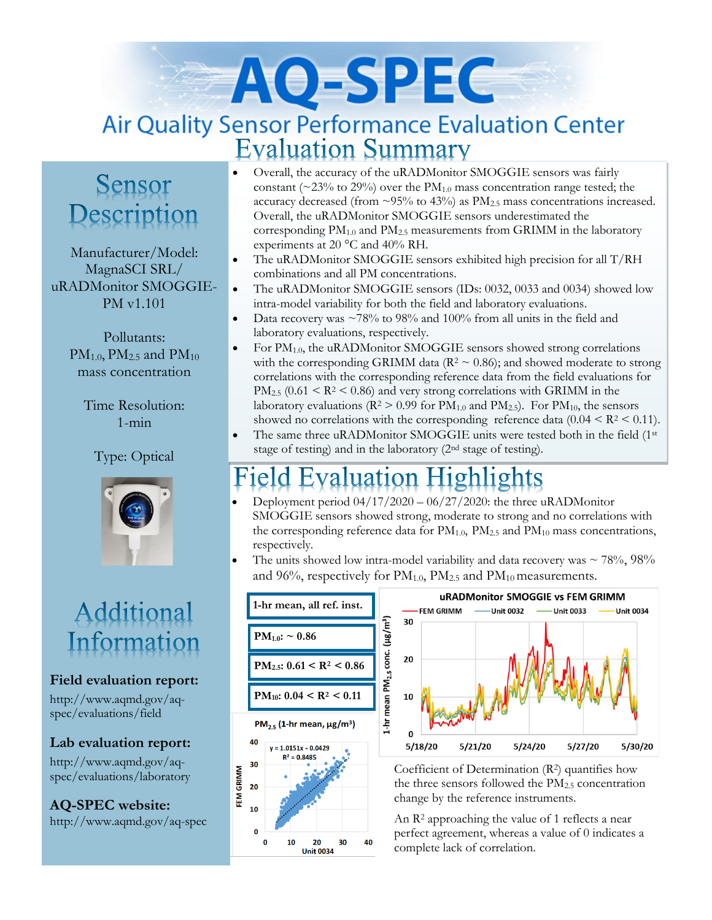# AO-SPEC Air Quality Sensor Performance Evaluation Center **Evaluation Summary**

# Sensor Description

Manufacturer/Model: MagnaSCI SRL/ uRADMonitor SMOGGIE-PM v1.101

> Pollutants:  $PM_{1.0}$ ,  $PM_{2.5}$  and  $PM_{10}$ mass concentration

> > Time Resolution: 1-min

Type: Optical



# Additional Information

#### **Field evaluation report:**

http://www.aqmd.gov/aqspec/evaluations/field

#### **Lab evaluation report:**

http://www.aqmd.gov/aqspec/evaluations/laboratory

**AQ-SPEC website:**  http://www.aqmd.gov/aq-spec

- Overall, the accuracy of the uRADMonitor SMOGGIE sensors was fairly constant ( $\sim$ 23% to 29%) over the PM<sub>1.0</sub> mass concentration range tested; the accuracy decreased (from  $\sim$ 95% to 43%) as PM<sub>2.5</sub> mass concentrations increased. Overall, the uRADMonitor SMOGGIE sensors underestimated the corresponding  $PM_{1.0}$  and  $PM_{2.5}$  measurements from GRIMM in the laboratory experiments at 20 °C and 40% RH.
- The uRADMonitor SMOGGIE sensors exhibited high precision for all T/RH combinations and all PM concentrations.
- The uRADMonitor SMOGGIE sensors (IDs: 0032, 0033 and 0034) showed low intra-model variability for both the field and laboratory evaluations.
- Data recovery was  $\sim$ 78% to 98% and 100% from all units in the field and laboratory evaluations, respectively.
- For  $PM_{1.0}$ , the uRADMonitor SMOGGIE sensors showed strong correlations with the corresponding GRIMM data ( $\mathbb{R}^2 \sim 0.86$ ); and showed moderate to strong correlations with the corresponding reference data from the field evaluations for  $PM_{2.5}$  (0.61 < R<sup>2</sup> < 0.86) and very strong correlations with GRIMM in the laboratory evaluations ( $R^2 > 0.99$  for  $PM_{1.0}$  and  $PM_{2.5}$ ). For  $PM_{10}$ , the sensors showed no correlations with the corresponding reference data (0.04  $\leq$  R<sup>2</sup>  $\leq$  0.11).
- The same three uRADMonitor SMOGGIE units were tested both in the field (1<sup>st</sup>) stage of testing) and in the laboratory (2nd stage of testing).

#### **Evaluation Highlights** teld.

- Deployment period  $04/17/2020 06/27/2020$ : the three uRADMonitor SMOGGIE sensors showed strong, moderate to strong and no correlations with the corresponding reference data for  $PM_{1.0}$ ,  $PM_{2.5}$  and  $PM_{10}$  mass concentrations, respectively.
- The units showed low intra-model variability and data recovery was  $\sim 78\%, 98\%$ and 96%, respectively for  $PM_{1.0}$ ,  $PM_{2.5}$  and  $PM_{10}$  measurements.





Coefficient of Determination (R2) quantifies how the three sensors followed the PM2.5 concentration change by the reference instruments.

An R<sup>2</sup> approaching the value of 1 reflects a near perfect agreement, whereas a value of 0 indicates a complete lack of correlation.